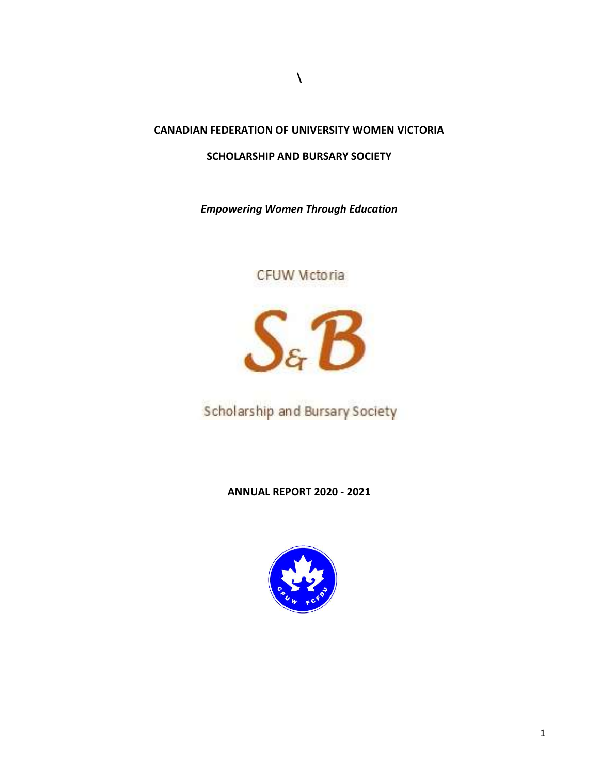### CANADIAN FEDERATION OF UNIVERSITY WOMEN VICTORIA

 $\lambda$ 

### SCHOLARSHIP AND BURSARY SOCIETY

Empowering Women Through Education

# CFUW Mctoria



Scholarship and Bursary Society

### ANNUAL REPORT 2020 - 2021

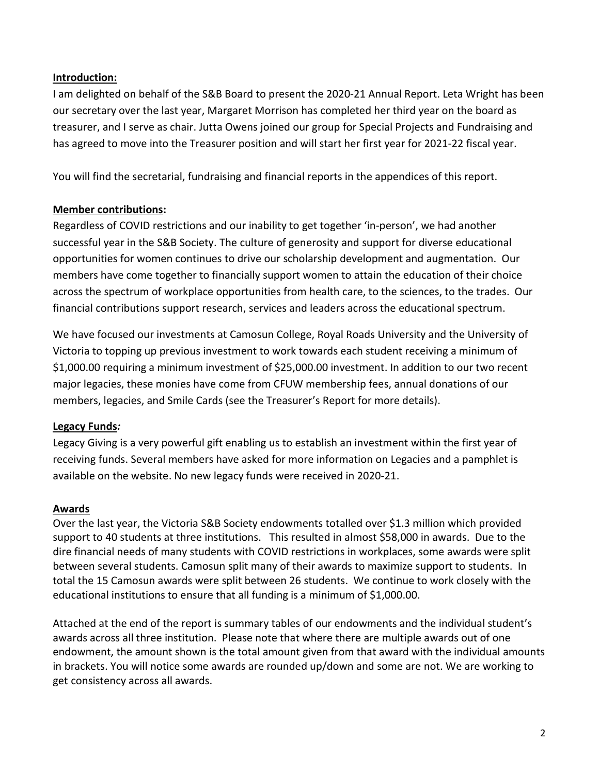### Introduction:

I am delighted on behalf of the S&B Board to present the 2020-21 Annual Report. Leta Wright has been our secretary over the last year, Margaret Morrison has completed her third year on the board as treasurer, and I serve as chair. Jutta Owens joined our group for Special Projects and Fundraising and has agreed to move into the Treasurer position and will start her first year for 2021-22 fiscal year.

You will find the secretarial, fundraising and financial reports in the appendices of this report.

### Member contributions:

Regardless of COVID restrictions and our inability to get together 'in-person', we had another successful year in the S&B Society. The culture of generosity and support for diverse educational opportunities for women continues to drive our scholarship development and augmentation. Our members have come together to financially support women to attain the education of their choice across the spectrum of workplace opportunities from health care, to the sciences, to the trades. Our financial contributions support research, services and leaders across the educational spectrum.

We have focused our investments at Camosun College, Royal Roads University and the University of Victoria to topping up previous investment to work towards each student receiving a minimum of \$1,000.00 requiring a minimum investment of \$25,000.00 investment. In addition to our two recent major legacies, these monies have come from CFUW membership fees, annual donations of our members, legacies, and Smile Cards (see the Treasurer's Report for more details).

#### Legacy Funds:

Legacy Giving is a very powerful gift enabling us to establish an investment within the first year of receiving funds. Several members have asked for more information on Legacies and a pamphlet is available on the website. No new legacy funds were received in 2020-21.

#### Awards

Over the last year, the Victoria S&B Society endowments totalled over \$1.3 million which provided support to 40 students at three institutions. This resulted in almost \$58,000 in awards. Due to the dire financial needs of many students with COVID restrictions in workplaces, some awards were split between several students. Camosun split many of their awards to maximize support to students. In total the 15 Camosun awards were split between 26 students. We continue to work closely with the educational institutions to ensure that all funding is a minimum of \$1,000.00.

Attached at the end of the report is summary tables of our endowments and the individual student's awards across all three institution. Please note that where there are multiple awards out of one endowment, the amount shown is the total amount given from that award with the individual amounts in brackets. You will notice some awards are rounded up/down and some are not. We are working to get consistency across all awards.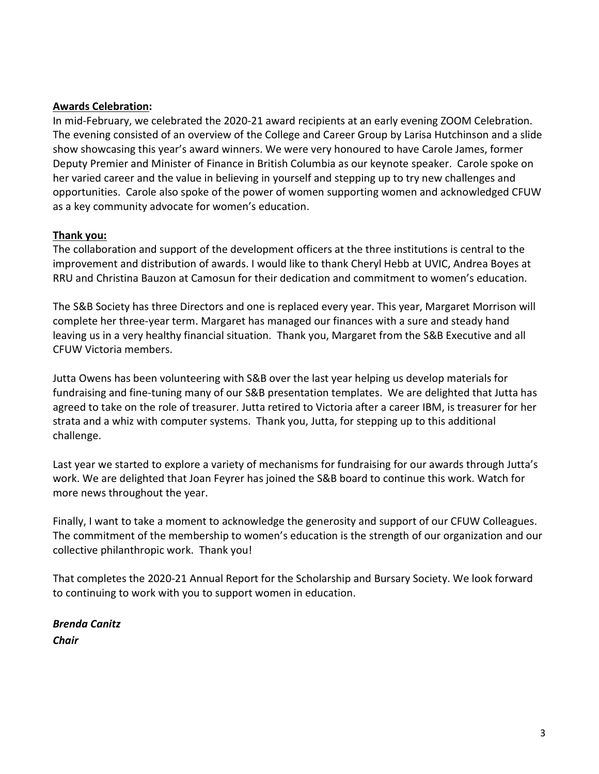### Awards Celebration:

In mid-February, we celebrated the 2020-21 award recipients at an early evening ZOOM Celebration. The evening consisted of an overview of the College and Career Group by Larisa Hutchinson and a slide show showcasing this year's award winners. We were very honoured to have Carole James, former Deputy Premier and Minister of Finance in British Columbia as our keynote speaker. Carole spoke on her varied career and the value in believing in yourself and stepping up to try new challenges and opportunities. Carole also spoke of the power of women supporting women and acknowledged CFUW as a key community advocate for women's education.

### Thank you:

The collaboration and support of the development officers at the three institutions is central to the improvement and distribution of awards. I would like to thank Cheryl Hebb at UVIC, Andrea Boyes at RRU and Christina Bauzon at Camosun for their dedication and commitment to women's education.

The S&B Society has three Directors and one is replaced every year. This year, Margaret Morrison will complete her three-year term. Margaret has managed our finances with a sure and steady hand leaving us in a very healthy financial situation. Thank you, Margaret from the S&B Executive and all CFUW Victoria members.

Jutta Owens has been volunteering with S&B over the last year helping us develop materials for fundraising and fine-tuning many of our S&B presentation templates. We are delighted that Jutta has agreed to take on the role of treasurer. Jutta retired to Victoria after a career IBM, is treasurer for her strata and a whiz with computer systems. Thank you, Jutta, for stepping up to this additional challenge.

Last year we started to explore a variety of mechanisms for fundraising for our awards through Jutta's work. We are delighted that Joan Feyrer has joined the S&B board to continue this work. Watch for more news throughout the year.

Finally, I want to take a moment to acknowledge the generosity and support of our CFUW Colleagues. The commitment of the membership to women's education is the strength of our organization and our collective philanthropic work. Thank you!

That completes the 2020-21 Annual Report for the Scholarship and Bursary Society. We look forward to continuing to work with you to support women in education.

Brenda Canitz **Chair**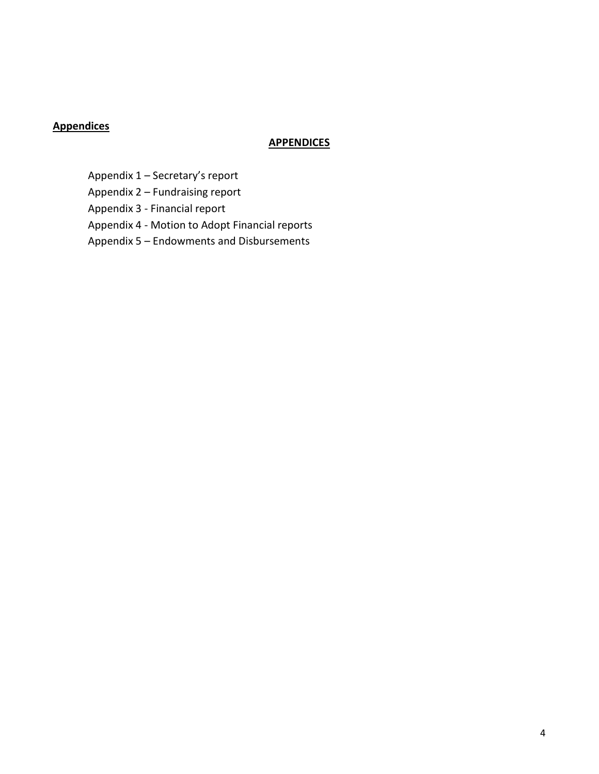## **Appendices**

### **APPENDICES**

Appendix 1 – Secretary's report

Appendix 2 – Fundraising report

Appendix 3 - Financial report

Appendix 4 - Motion to Adopt Financial reports

Appendix 5 – Endowments and Disbursements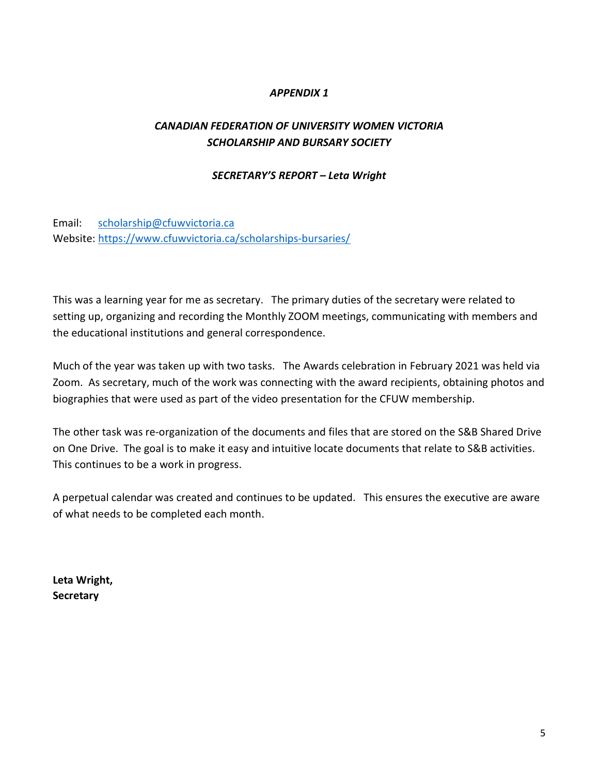### APPENDIX 1

## CANADIAN FEDERATION OF UNIVERSITY WOMEN VICTORIA SCHOLARSHIP AND BURSARY SOCIETY

#### SECRETARY'S REPORT – Leta Wright

Email: scholarship@cfuwvictoria.ca Website: https://www.cfuwvictoria.ca/scholarships-bursaries/

This was a learning year for me as secretary. The primary duties of the secretary were related to setting up, organizing and recording the Monthly ZOOM meetings, communicating with members and the educational institutions and general correspondence.

Much of the year was taken up with two tasks. The Awards celebration in February 2021 was held via Zoom. As secretary, much of the work was connecting with the award recipients, obtaining photos and biographies that were used as part of the video presentation for the CFUW membership.

The other task was re-organization of the documents and files that are stored on the S&B Shared Drive on One Drive. The goal is to make it easy and intuitive locate documents that relate to S&B activities. This continues to be a work in progress.

A perpetual calendar was created and continues to be updated. This ensures the executive are aware of what needs to be completed each month.

Leta Wright, **Secretary**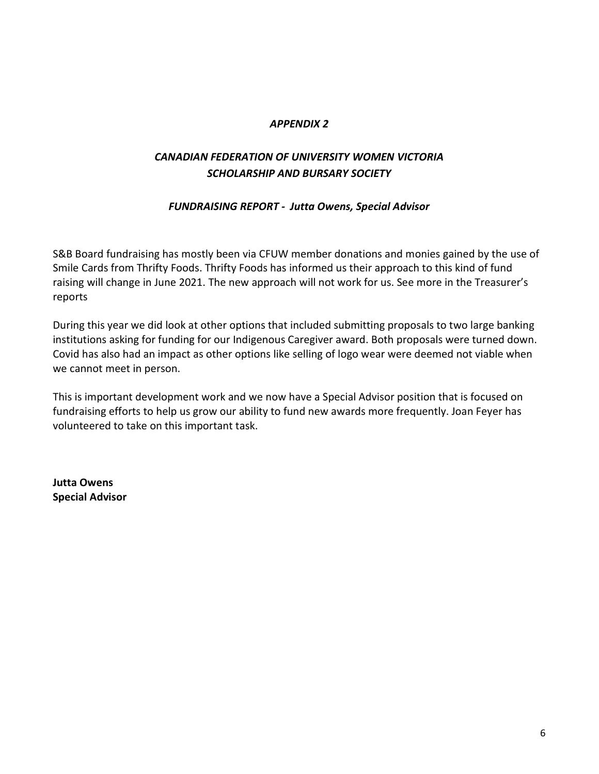### APPENDIX 2

# CANADIAN FEDERATION OF UNIVERSITY WOMEN VICTORIA SCHOLARSHIP AND BURSARY SOCIETY

### FUNDRAISING REPORT - Jutta Owens, Special Advisor

S&B Board fundraising has mostly been via CFUW member donations and monies gained by the use of Smile Cards from Thrifty Foods. Thrifty Foods has informed us their approach to this kind of fund raising will change in June 2021. The new approach will not work for us. See more in the Treasurer's reports

During this year we did look at other options that included submitting proposals to two large banking institutions asking for funding for our Indigenous Caregiver award. Both proposals were turned down. Covid has also had an impact as other options like selling of logo wear were deemed not viable when we cannot meet in person.

This is important development work and we now have a Special Advisor position that is focused on fundraising efforts to help us grow our ability to fund new awards more frequently. Joan Feyer has volunteered to take on this important task.

Jutta Owens Special Advisor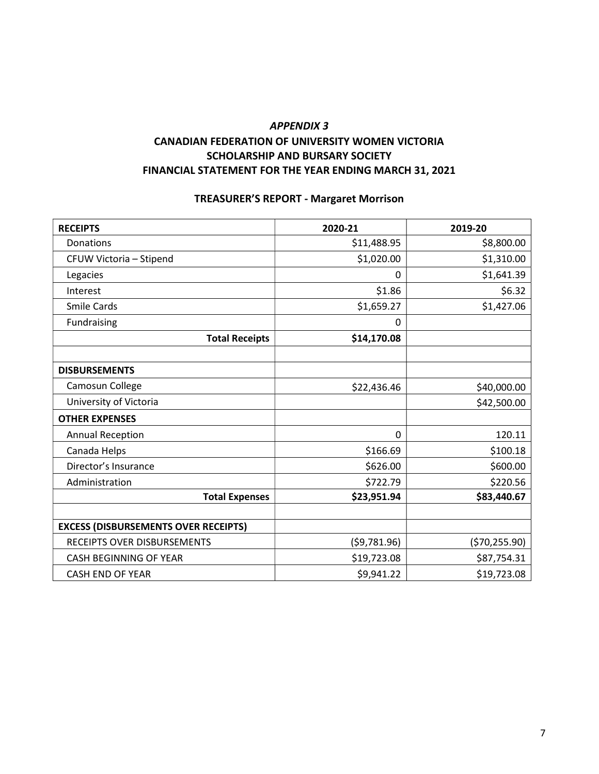### APPENDIX 3 CANADIAN FEDERATION OF UNIVERSITY WOMEN VICTORIA SCHOLARSHIP AND BURSARY SOCIETY FINANCIAL STATEMENT FOR THE YEAR ENDING MARCH 31, 2021

### TREASURER'S REPORT - Margaret Morrison

| <b>RECEIPTS</b>                             | 2020-21      | 2019-20       |
|---------------------------------------------|--------------|---------------|
| Donations                                   | \$11,488.95  | \$8,800.00    |
| CFUW Victoria - Stipend                     | \$1,020.00   | \$1,310.00    |
| Legacies                                    | 0            | \$1,641.39    |
| Interest                                    | \$1.86       | \$6.32        |
| <b>Smile Cards</b>                          | \$1,659.27   | \$1,427.06    |
| Fundraising                                 | 0            |               |
| <b>Total Receipts</b>                       | \$14,170.08  |               |
|                                             |              |               |
| <b>DISBURSEMENTS</b>                        |              |               |
| Camosun College                             | \$22,436.46  | \$40,000.00   |
| University of Victoria                      |              | \$42,500.00   |
| <b>OTHER EXPENSES</b>                       |              |               |
| <b>Annual Reception</b>                     | 0            | 120.11        |
| Canada Helps                                | \$166.69     | \$100.18      |
| Director's Insurance                        | \$626.00     | \$600.00      |
| Administration                              | \$722.79     | \$220.56      |
| <b>Total Expenses</b>                       | \$23,951.94  | \$83,440.67   |
|                                             |              |               |
| <b>EXCESS (DISBURSEMENTS OVER RECEIPTS)</b> |              |               |
| RECEIPTS OVER DISBURSEMENTS                 | (\$9,781.96) | (\$70,255.90) |
| CASH BEGINNING OF YEAR                      | \$19,723.08  | \$87,754.31   |
| <b>CASH END OF YEAR</b>                     | \$9,941.22   | \$19,723.08   |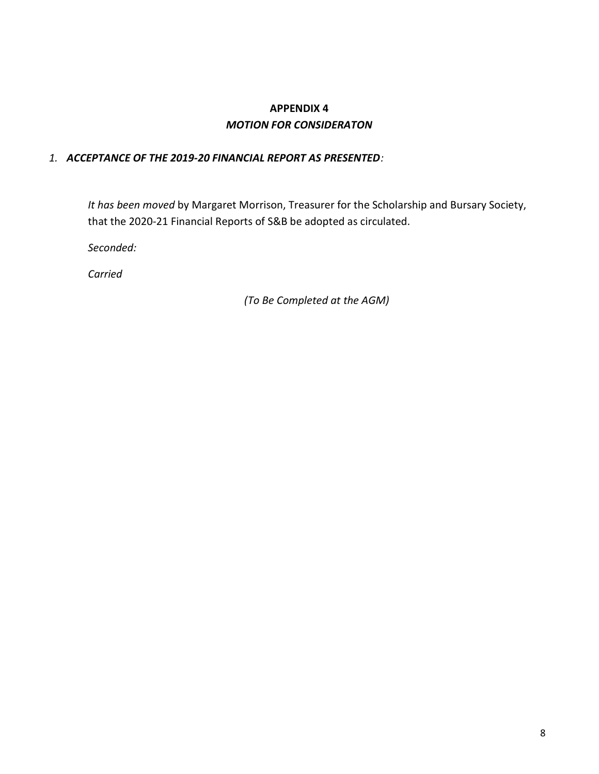# APPENDIX 4 MOTION FOR CONSIDERATON

### 1. ACCEPTANCE OF THE 2019-20 FINANCIAL REPORT AS PRESENTED:

It has been moved by Margaret Morrison, Treasurer for the Scholarship and Bursary Society, that the 2020-21 Financial Reports of S&B be adopted as circulated.

Seconded:

Carried

(To Be Completed at the AGM)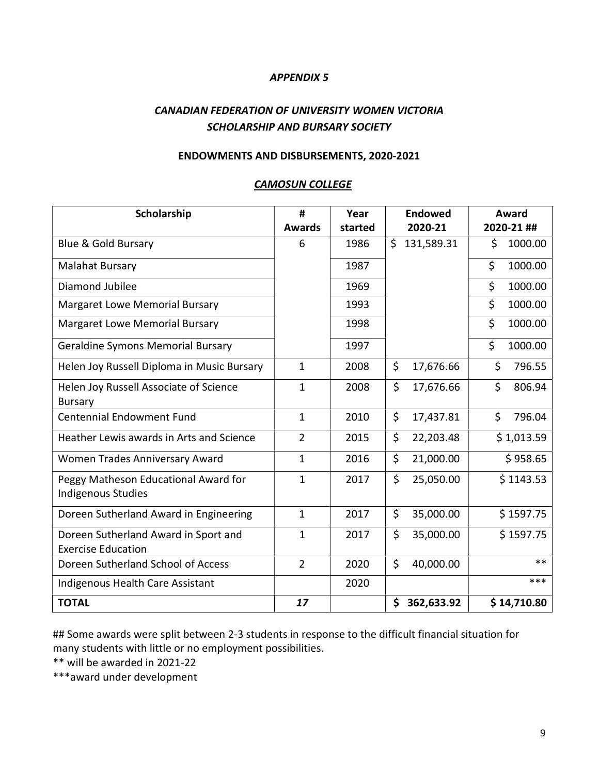### APPENDIX 5

## CANADIAN FEDERATION OF UNIVERSITY WOMEN VICTORIA SCHOLARSHIP AND BURSARY SOCIETY

### ENDOWMENTS AND DISBURSEMENTS, 2020-2021

| Scholarship                                                | #              | Year    | <b>Endowed</b>                  | Award         |
|------------------------------------------------------------|----------------|---------|---------------------------------|---------------|
|                                                            | <b>Awards</b>  | started | 2020-21                         | 2020-21 ##    |
| <b>Blue &amp; Gold Bursary</b>                             | 6              | 1986    | \$<br>131,589.31                | 1000.00<br>\$ |
| <b>Malahat Bursary</b>                                     |                | 1987    |                                 | \$<br>1000.00 |
| Diamond Jubilee                                            |                | 1969    |                                 | \$<br>1000.00 |
| <b>Margaret Lowe Memorial Bursary</b>                      |                | 1993    |                                 | \$<br>1000.00 |
| <b>Margaret Lowe Memorial Bursary</b>                      |                | 1998    |                                 | \$<br>1000.00 |
| Geraldine Symons Memorial Bursary                          |                | 1997    |                                 | \$<br>1000.00 |
| Helen Joy Russell Diploma in Music Bursary                 | $\mathbf{1}$   | 2008    | \$<br>17,676.66                 | \$<br>796.55  |
| Helen Joy Russell Associate of Science                     | 1              | 2008    | \$<br>17,676.66                 | \$<br>806.94  |
| <b>Bursary</b>                                             |                |         |                                 |               |
| <b>Centennial Endowment Fund</b>                           | $\mathbf{1}$   | 2010    | \$<br>17,437.81                 | \$<br>796.04  |
| Heather Lewis awards in Arts and Science                   | $\overline{2}$ | 2015    | \$<br>22,203.48                 | \$1,013.59    |
| Women Trades Anniversary Award                             | $\mathbf{1}$   | 2016    | \$<br>21,000.00                 | \$958.65      |
| Peggy Matheson Educational Award for<br>Indigenous Studies | 1              | 2017    | \$<br>25,050.00                 | \$1143.53     |
| Doreen Sutherland Award in Engineering                     | $\mathbf{1}$   | 2017    | \$<br>35,000.00                 | \$1597.75     |
| Doreen Sutherland Award in Sport and                       | 1              | 2017    | \$<br>35,000.00                 | \$1597.75     |
| <b>Exercise Education</b>                                  |                |         |                                 |               |
| Doreen Sutherland School of Access                         | $\overline{2}$ | 2020    | $\mathsf{\dot{S}}$<br>40,000.00 | $***$         |
| Indigenous Health Care Assistant                           |                | 2020    |                                 | ***           |
| <b>TOTAL</b>                                               | 17             |         | \$<br>362,633.92                | \$14,710.80   |

### CAMOSUN COLLEGE

## Some awards were split between 2-3 students in response to the difficult financial situation for many students with little or no employment possibilities.

\*\* will be awarded in 2021-22

\*\*\*award under development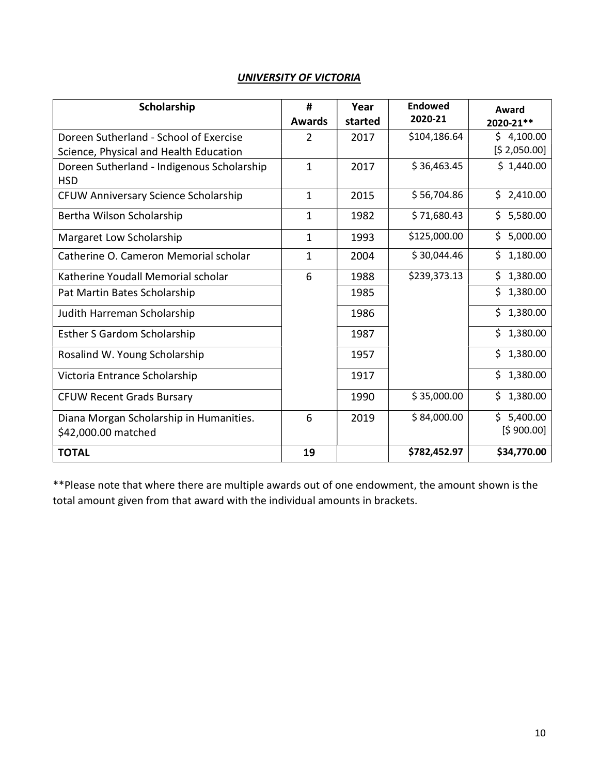| Scholarship                                | #              | Year    | Endowed<br>2020-21 | Award           |
|--------------------------------------------|----------------|---------|--------------------|-----------------|
|                                            | <b>Awards</b>  | started |                    | 2020-21**       |
| Doreen Sutherland - School of Exercise     | $\overline{2}$ | 2017    | \$104,186.64       | \$4,100.00      |
| Science, Physical and Health Education     |                |         |                    | [\$2,050.00]    |
| Doreen Sutherland - Indigenous Scholarship | $\mathbf{1}$   | 2017    | \$36,463.45        | \$1,440.00      |
| <b>HSD</b>                                 |                |         |                    |                 |
| CFUW Anniversary Science Scholarship       | 1              | 2015    | \$56,704.86        | \$2,410.00      |
| Bertha Wilson Scholarship                  | 1              | 1982    | \$71,680.43        | \$5,580.00      |
| Margaret Low Scholarship                   | $\mathbf{1}$   | 1993    | \$125,000.00       | Ś.<br>5,000.00  |
| Catherine O. Cameron Memorial scholar      | $\mathbf{1}$   | 2004    | \$30,044.46        | \$<br>1,180.00  |
| Katherine Youdall Memorial scholar         | 6              | 1988    | \$239,373.13       | \$.<br>1,380.00 |
| Pat Martin Bates Scholarship               |                | 1985    |                    | \$<br>1,380.00  |
| Judith Harreman Scholarship                |                | 1986    |                    | \$1,380.00      |
| <b>Esther S Gardom Scholarship</b>         |                | 1987    |                    | \$<br>1,380.00  |
| Rosalind W. Young Scholarship              |                | 1957    |                    | \$1,380.00      |
| Victoria Entrance Scholarship              |                | 1917    |                    | \$1,380.00      |
| <b>CFUW Recent Grads Bursary</b>           |                | 1990    | \$35,000.00        | \$1,380.00      |
| Diana Morgan Scholarship in Humanities.    | 6              | 2019    | \$84,000.00        | \$5,400.00      |
| \$42,000.00 matched                        |                |         |                    | [\$900.00]      |
| <b>TOTAL</b>                               | 19             |         | \$782,452.97       | \$34,770.00     |

\*\*Please note that where there are multiple awards out of one endowment, the amount shown is the total amount given from that award with the individual amounts in brackets.